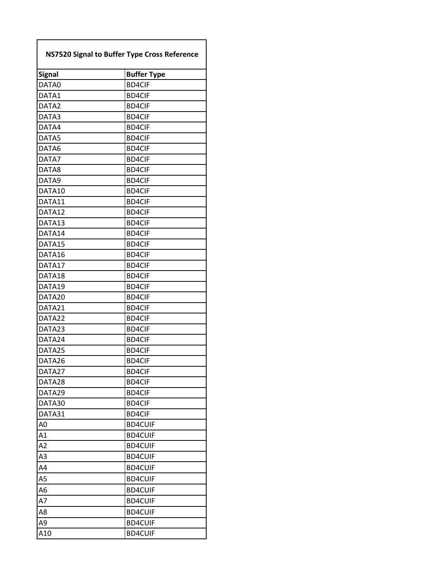| <b>NS7520 Signal to Buffer Type Cross Reference</b> |                    |
|-----------------------------------------------------|--------------------|
| <b>Signal</b>                                       | <b>Buffer Type</b> |
| DATA0                                               | <b>BD4CIF</b>      |
| DATA1                                               | <b>BD4CIF</b>      |
| DATA2                                               | <b>BD4CIF</b>      |
| DATA3                                               | <b>BD4CIF</b>      |
| DATA4                                               | <b>BD4CIF</b>      |
| DATA5                                               | <b>BD4CIF</b>      |
| DATA6                                               | <b>BD4CIF</b>      |
| DATA7                                               | <b>BD4CIF</b>      |
| DATA8                                               | <b>BD4CIF</b>      |
| DATA9                                               | <b>BD4CIF</b>      |
| DATA10                                              | <b>BD4CIF</b>      |
| DATA11                                              | <b>BD4CIF</b>      |
| DATA12                                              | <b>BD4CIF</b>      |
| DATA13                                              | <b>BD4CIF</b>      |
| DATA14                                              | <b>BD4CIF</b>      |
| DATA15                                              | <b>BD4CIF</b>      |
| DATA16                                              | <b>BD4CIF</b>      |
| DATA17                                              | <b>BD4CIF</b>      |
| DATA18                                              | <b>BD4CIF</b>      |
| DATA19                                              | <b>BD4CIF</b>      |
| DATA20                                              | <b>BD4CIF</b>      |
| DATA21                                              | <b>BD4CIF</b>      |
| DATA22                                              | <b>BD4CIF</b>      |
| DATA23                                              | <b>BD4CIF</b>      |
| DATA24                                              | <b>BD4CIF</b>      |
| DATA25                                              | <b>BD4CIF</b>      |
| DATA26                                              | <b>BD4CIF</b>      |
| DATA27                                              | <b>BD4CIF</b>      |
| DATA28                                              | <b>BD4CIF</b>      |
| DATA29                                              | <b>BD4CIF</b>      |
| DATA30                                              | <b>BD4CIF</b>      |
| DATA31                                              | <b>BD4CIF</b>      |
| A <sub>0</sub>                                      | <b>BD4CUIF</b>     |
| A1                                                  | <b>BD4CUIF</b>     |
| A2                                                  | <b>BD4CUIF</b>     |
| A <sub>3</sub>                                      | <b>BD4CUIF</b>     |
| A4                                                  | <b>BD4CUIF</b>     |
| A <sub>5</sub>                                      | <b>BD4CUIF</b>     |
| A <sub>6</sub>                                      | <b>BD4CUIF</b>     |
| A7                                                  | <b>BD4CUIF</b>     |
| A8                                                  | <b>BD4CUIF</b>     |
| A <sub>9</sub>                                      | <b>BD4CUIF</b>     |
| A10                                                 | <b>BD4CUIF</b>     |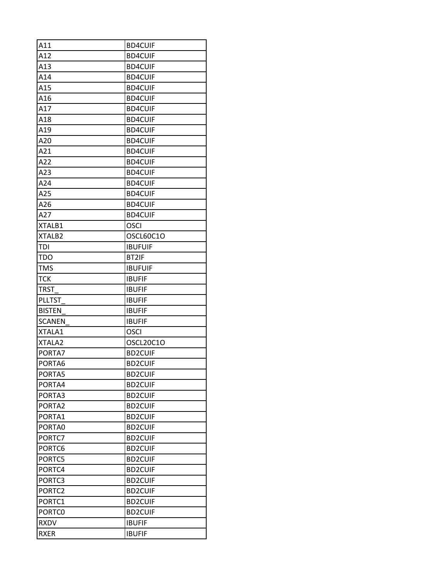| A11                | <b>BD4CUIF</b> |
|--------------------|----------------|
| A12                | <b>BD4CUIF</b> |
| A13                | <b>BD4CUIF</b> |
| A14                | <b>BD4CUIF</b> |
| A15                | <b>BD4CUIF</b> |
| A16                | <b>BD4CUIF</b> |
| A17                | <b>BD4CUIF</b> |
| A18                | <b>BD4CUIF</b> |
| A19                | <b>BD4CUIF</b> |
| A20                | <b>BD4CUIF</b> |
| A21                | <b>BD4CUIF</b> |
| A22                | <b>BD4CUIF</b> |
| A23                | <b>BD4CUIF</b> |
| A24                | <b>BD4CUIF</b> |
| A25                | <b>BD4CUIF</b> |
| A26                | <b>BD4CUIF</b> |
| A27                | <b>BD4CUIF</b> |
| XTALB1             | <b>OSCI</b>    |
| XTALB2             | OSCL60C1O      |
| TDI                | <b>IBUFUIF</b> |
| <b>TDO</b>         | BT2IF          |
| <b>TMS</b>         | <b>IBUFUIF</b> |
| <b>TCK</b>         | <b>IBUFIF</b>  |
| <b>TRST</b>        | <b>IBUFIF</b>  |
| <b>PLLTST</b>      | <b>IBUFIF</b>  |
| <b>BISTEN</b>      | <b>IBUFIF</b>  |
| <b>SCANEN</b>      | <b>IBUFIF</b>  |
| XTALA1             | <b>OSCI</b>    |
| XTALA2             | OSCL20C1O      |
| PORTA7             | <b>BD2CUIF</b> |
| PORTA6             | <b>BD2CUIF</b> |
| PORTA5             | <b>BD2CUIF</b> |
| PORTA4             | <b>BD2CUIF</b> |
| PORTA3             | <b>BD2CUIF</b> |
| PORTA2             | <b>BD2CUIF</b> |
| PORTA1             | <b>BD2CUIF</b> |
| PORTA0             | <b>BD2CUIF</b> |
| PORTC7             | <b>BD2CUIF</b> |
| PORTC6             | <b>BD2CUIF</b> |
| PORTC5             | <b>BD2CUIF</b> |
| PORTC4             | <b>BD2CUIF</b> |
| PORTC3             | <b>BD2CUIF</b> |
| PORTC <sub>2</sub> | <b>BD2CUIF</b> |
| PORTC1             | <b>BD2CUIF</b> |
| PORTC0             | <b>BD2CUIF</b> |
| <b>RXDV</b>        | <b>IBUFIF</b>  |
| <b>RXER</b>        | <b>IBUFIF</b>  |